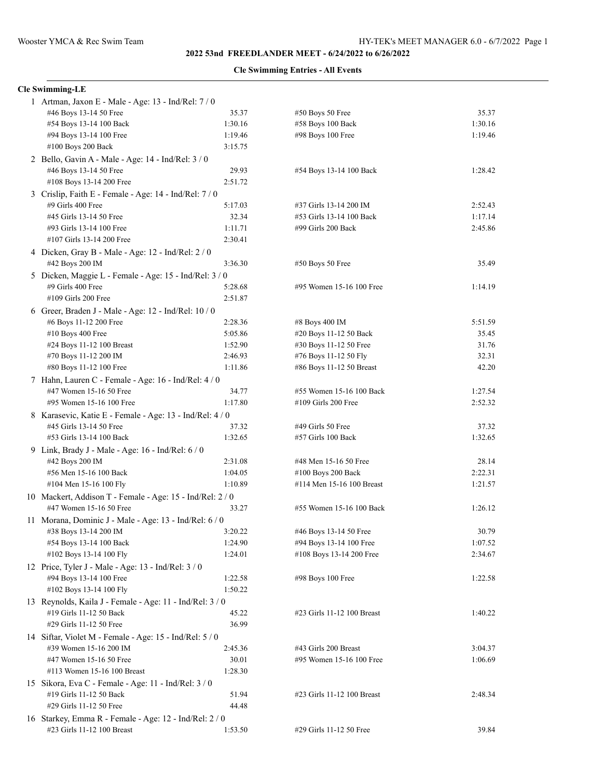**2022 53nd FREEDLANDER MEET - 6/24/2022 to 6/26/2022**

## **Cle Swimming Entries - All Events**

## **Cle Swimming-LE**

|  | 1 Artman, Jaxon E - Male - Age: 13 - Ind/Rel: 7/0                                                        |                    |                            |         |  |  |
|--|----------------------------------------------------------------------------------------------------------|--------------------|----------------------------|---------|--|--|
|  | #46 Boys 13-14 50 Free                                                                                   | 35.37              | #50 Boys 50 Free           | 35.37   |  |  |
|  | #54 Boys 13-14 100 Back                                                                                  | 1:30.16            | #58 Boys 100 Back          | 1:30.16 |  |  |
|  | #94 Boys 13-14 100 Free                                                                                  | 1:19.46            | #98 Boys 100 Free          | 1:19.46 |  |  |
|  | #100 Boys 200 Back<br>3:15.75                                                                            |                    |                            |         |  |  |
|  | 2 Bello, Gavin A - Male - Age: 14 - Ind/Rel: 3 / 0                                                       |                    |                            |         |  |  |
|  | #46 Boys 13-14 50 Free                                                                                   | 29.93              | #54 Boys 13-14 100 Back    | 1:28.42 |  |  |
|  | #108 Boys 13-14 200 Free                                                                                 | 2:51.72            |                            |         |  |  |
|  | 3 Crislip, Faith E - Female - Age: 14 - Ind/Rel: 7 / 0                                                   |                    |                            |         |  |  |
|  | #9 Girls 400 Free                                                                                        | 5:17.03            | #37 Girls 13-14 200 IM     | 2:52.43 |  |  |
|  | #45 Girls 13-14 50 Free                                                                                  | 32.34              | #53 Girls 13-14 100 Back   | 1:17.14 |  |  |
|  | #93 Girls 13-14 100 Free<br>#107 Girls 13-14 200 Free                                                    | 1:11.71<br>2:30.41 | #99 Girls 200 Back         | 2:45.86 |  |  |
|  |                                                                                                          |                    |                            |         |  |  |
|  | 4 Dicken, Gray B - Male - Age: 12 - Ind/Rel: 2 / 0                                                       |                    |                            | 35.49   |  |  |
|  | #42 Boys 200 IM<br>3:36.30<br>#50 Boys 50 Free<br>5 Dicken, Maggie L - Female - Age: 15 - Ind/Rel: 3 / 0 |                    |                            |         |  |  |
|  | #9 Girls 400 Free                                                                                        | 5:28.68            | #95 Women 15-16 100 Free   | 1:14.19 |  |  |
|  | #109 Girls 200 Free                                                                                      | 2:51.87            |                            |         |  |  |
|  | 6 Greer, Braden J - Male - Age: 12 - Ind/Rel: 10 / 0                                                     |                    |                            |         |  |  |
|  | #6 Boys 11-12 200 Free                                                                                   | 2:28.36            | #8 Boys 400 IM             | 5:51.59 |  |  |
|  | #10 Boys 400 Free                                                                                        | 5:05.86            | #20 Boys 11-12 50 Back     | 35.45   |  |  |
|  | #24 Boys 11-12 100 Breast                                                                                | 1:52.90            | #30 Boys 11-12 50 Free     | 31.76   |  |  |
|  | #70 Boys 11-12 200 IM                                                                                    | 2:46.93            | #76 Boys 11-12 50 Fly      | 32.31   |  |  |
|  | #80 Boys 11-12 100 Free                                                                                  | 1:11.86            | #86 Boys 11-12 50 Breast   | 42.20   |  |  |
|  | 7 Hahn, Lauren C - Female - Age: 16 - Ind/Rel: 4 / 0                                                     |                    |                            |         |  |  |
|  | #47 Women 15-16 50 Free                                                                                  | 34.77              | #55 Women 15-16 100 Back   | 1:27.54 |  |  |
|  | #95 Women 15-16 100 Free                                                                                 | 1:17.80            | #109 Girls 200 Free        | 2:52.32 |  |  |
|  | 8 Karasevic, Katie E - Female - Age: 13 - Ind/Rel: 4 / 0                                                 |                    |                            |         |  |  |
|  | #45 Girls 13-14 50 Free                                                                                  | 37.32              | #49 Girls 50 Free          | 37.32   |  |  |
|  | #53 Girls 13-14 100 Back                                                                                 | 1:32.65            | #57 Girls 100 Back         | 1:32.65 |  |  |
|  | 9 Link, Brady J - Male - Age: 16 - Ind/Rel: 6 / 0                                                        |                    |                            |         |  |  |
|  | #42 Boys 200 IM                                                                                          | 2:31.08            | #48 Men 15-16 50 Free      | 28.14   |  |  |
|  | #56 Men 15-16 100 Back                                                                                   | 1:04.05            | #100 Boys 200 Back         | 2:22.31 |  |  |
|  | #104 Men 15-16 100 Fly                                                                                   | 1:10.89            | #114 Men 15-16 100 Breast  | 1:21.57 |  |  |
|  | 10 Mackert, Addison T - Female - Age: 15 - Ind/Rel: 2 / 0                                                |                    |                            |         |  |  |
|  | #47 Women 15-16 50 Free<br>#55 Women 15-16 100 Back<br>1:26.12<br>33.27                                  |                    |                            |         |  |  |
|  | 11 Morana, Dominic J - Male - Age: 13 - Ind/Rel: 6 / 0                                                   |                    |                            |         |  |  |
|  | #38 Boys 13-14 200 IM                                                                                    | 3:20.22            | #46 Boys 13-14 50 Free     | 30.79   |  |  |
|  | #54 Boys 13-14 100 Back                                                                                  | 1:24.90            | #94 Boys 13-14 100 Free    | 1:07.52 |  |  |
|  | #102 Boys 13-14 100 Fly                                                                                  | 1:24.01            | #108 Boys 13-14 200 Free   | 2:34.67 |  |  |
|  | 12 Price, Tyler J - Male - Age: 13 - Ind/Rel: 3 / 0                                                      |                    |                            |         |  |  |
|  | #94 Boys 13-14 100 Free                                                                                  | 1:22.58            | #98 Boys 100 Free          | 1:22.58 |  |  |
|  | #102 Boys 13-14 100 Fly                                                                                  | 1:50.22            |                            |         |  |  |
|  | 13 Reynolds, Kaila J - Female - Age: 11 - Ind/Rel: 3 / 0                                                 |                    |                            |         |  |  |
|  | #19 Girls 11-12 50 Back                                                                                  | 45.22              | #23 Girls 11-12 100 Breast | 1:40.22 |  |  |
|  | #29 Girls 11-12 50 Free                                                                                  | 36.99              |                            |         |  |  |
|  | 14 Siftar, Violet M - Female - Age: 15 - Ind/Rel: 5 / 0                                                  |                    |                            |         |  |  |
|  | #39 Women 15-16 200 IM                                                                                   | 2:45.36            | #43 Girls 200 Breast       | 3:04.37 |  |  |
|  | #47 Women 15-16 50 Free                                                                                  | 30.01              | #95 Women 15-16 100 Free   | 1:06.69 |  |  |
|  | #113 Women 15-16 100 Breast                                                                              | 1:28.30            |                            |         |  |  |
|  | 15 Sikora, Eva C - Female - Age: 11 - Ind/Rel: 3 / 0                                                     |                    |                            |         |  |  |
|  | #19 Girls 11-12 50 Back                                                                                  | 51.94              | #23 Girls 11-12 100 Breast | 2:48.34 |  |  |
|  | #29 Girls 11-12 50 Free                                                                                  | 44.48              |                            |         |  |  |
|  | 16 Starkey, Emma R - Female - Age: 12 - Ind/Rel: 2 / 0                                                   |                    |                            |         |  |  |
|  | #23 Girls 11-12 100 Breast                                                                               | 1:53.50            | #29 Girls 11-12 50 Free    | 39.84   |  |  |